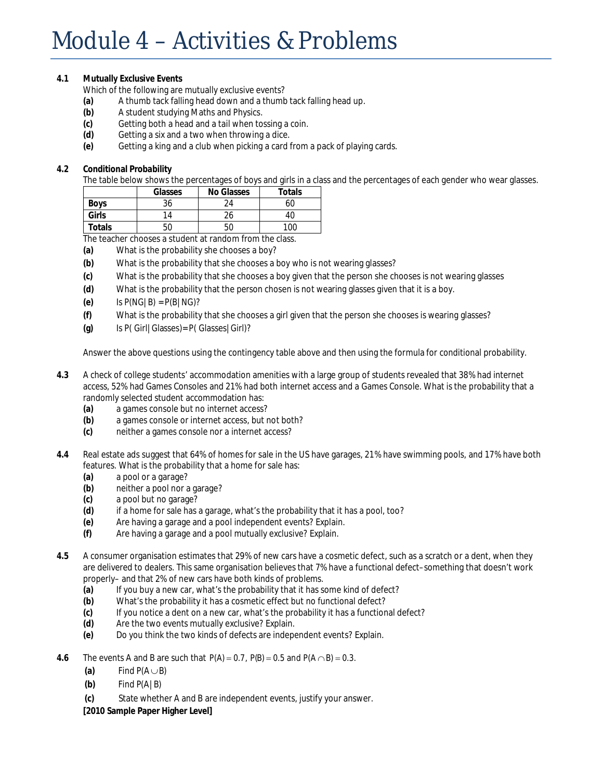## Module 4 – Activities & Problems

## **4.1 Mutually Exclusive Events**

Which of the following are mutually exclusive events?

- **(a)** A thumb tack falling head down and a thumb tack falling head up.
- **(b)** A student studying Maths and Physics.
- **(c)** Getting both a head and a tail when tossing a coin.
- **(d)** Getting a six and a two when throwing a dice.
- **(e)** Getting a king and a club when picking a card from a pack of playing cards.

## **4.2 Conditional Probability**

The table below shows the percentages of boys and girls in a class and the percentages of each gender who wear glasses.

|             | Glasses | No Glasses        | Totals  |
|-------------|---------|-------------------|---------|
| <b>Boys</b> | 36      | $\gamma_{\Delta}$ | 60      |
| Girls       | 14      | 26                |         |
| Totals      | 50      | 50                | $100 -$ |

The teacher chooses a student at random from the class.

- **(a)** What is the probability she chooses a boy?
- **(b)** What is the probability that she chooses a boy who is not wearing glasses?
- **(c)** What is the probability that she chooses a boy given that the person she chooses is not wearing glasses
- **(d)** What is the probability that the person chosen is not wearing glasses given that it is a boy.
- **(e)** Is P(NG|B) = P(B|NG)?
- **(f)** What is the probability that she chooses a girl given that the person she chooses is wearing glasses?
- **(g)** Is P( Girl|Glasses)= P( Glasses|Girl)?

Answer the above questions using the contingency table above and then using the formula for conditional probability.

- **4.3** A check of college students' accommodation amenities with a large group of students revealed that 38% had internet access, 52% had Games Consoles and 21% had both internet access and a Games Console. What is the probability that a randomly selected student accommodation has:
	- **(a)** a games console but no internet access?
	- **(b)** a games console or internet access, but not both?
	- **(c)** neither a games console nor a internet access?
- **4.4** Real estate ads suggest that 64% of homes for sale in the US have garages, 21% have swimming pools, and 17% have both features. What is the probability that a home for sale has:
	- **(a)** a pool or a garage?
	- **(b)** neither a pool nor a garage?
	- **(c)** a pool but no garage?
	- **(d)** if a home for sale has a garage, what's the probability that it has a pool, too?
	- **(e)** Are having a garage and a pool independent events? Explain.
	- **(f)** Are having a garage and a pool mutually exclusive? Explain.
- **4.5** A consumer organisation estimates that 29% of new cars have a cosmetic defect, such as a scratch or a dent, when they are delivered to dealers. This same organisation believes that 7% have a functional defect–something that doesn't work properly– and that 2% of new cars have both kinds of problems.
	- **(a)** If you buy a new car, what's the probability that it has some kind of defect?
	- **(b)** What's the probability it has a cosmetic effect but no functional defect?
	- **(c)** If you notice a dent on a new car, what's the probability it has a functional defect?
	- **(d)** Are the two events mutually exclusive? Explain.
	- **(e)** Do you think the two kinds of defects are independent events? Explain.
- 4.6 The events A and B are such that  $P(A) = 0.7$ ,  $P(B) = 0.5$  and  $P(A \cap B) = 0.3$ .
	- (a) Find  $P(A \cup B)$
	- Find  $P(A|B)$ **(b)**
	- State whether A and B are independent events, justify your answer. **(c)**

**[2010 Sample Paper Higher Level]**